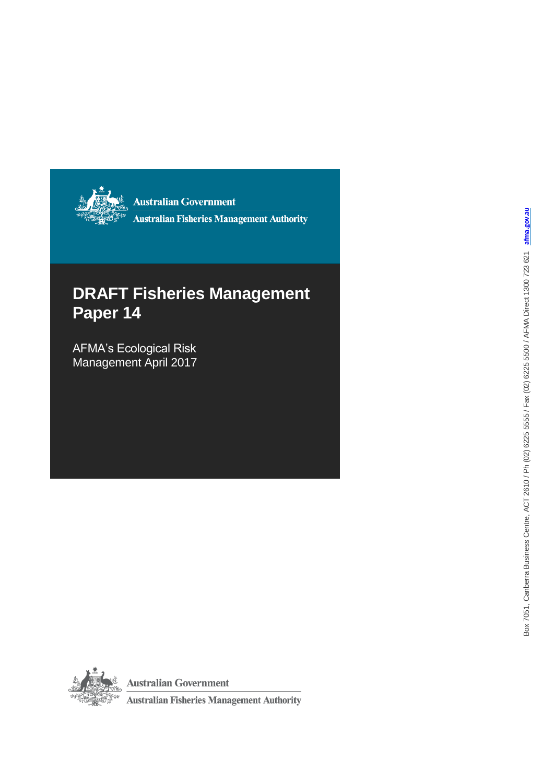

**Australian Government** 

#### **Australian Fisheries Management Authority**

## **DRAFT Fisheries Management Paper 14**

AFMA's Ecological Risk Management April 2017



**Australian Government** 

**Australian Fisheries Management Authority**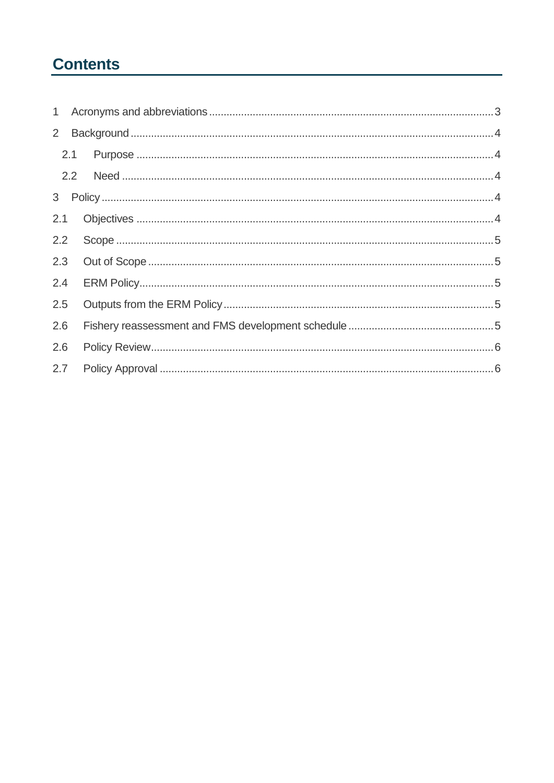# **Contents**

|  | 2.1<br>2.2<br>2.3<br>2.4<br>2.5<br>2.6<br>2.6<br>2.7 |  |
|--|------------------------------------------------------|--|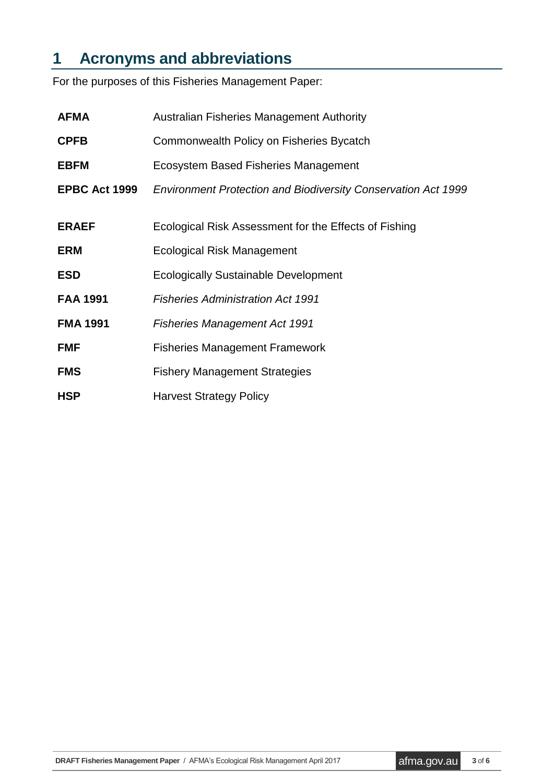## <span id="page-2-0"></span>**1 Acronyms and abbreviations**

For the purposes of this Fisheries Management Paper:

| <b>AFMA</b>          | <b>Australian Fisheries Management Authority</b>                     |
|----------------------|----------------------------------------------------------------------|
| <b>CPFB</b>          | Commonwealth Policy on Fisheries Bycatch                             |
| <b>EBFM</b>          | Ecosystem Based Fisheries Management                                 |
| <b>EPBC Act 1999</b> | <b>Environment Protection and Biodiversity Conservation Act 1999</b> |
|                      |                                                                      |
| <b>ERAEF</b>         | Ecological Risk Assessment for the Effects of Fishing                |
| <b>ERM</b>           | Ecological Risk Management                                           |
| <b>ESD</b>           | <b>Ecologically Sustainable Development</b>                          |
| <b>FAA 1991</b>      | <b>Fisheries Administration Act 1991</b>                             |
| <b>FMA 1991</b>      | <b>Fisheries Management Act 1991</b>                                 |
| <b>FMF</b>           | <b>Fisheries Management Framework</b>                                |
| <b>FMS</b>           | <b>Fishery Management Strategies</b>                                 |
| <b>HSP</b>           | <b>Harvest Strategy Policy</b>                                       |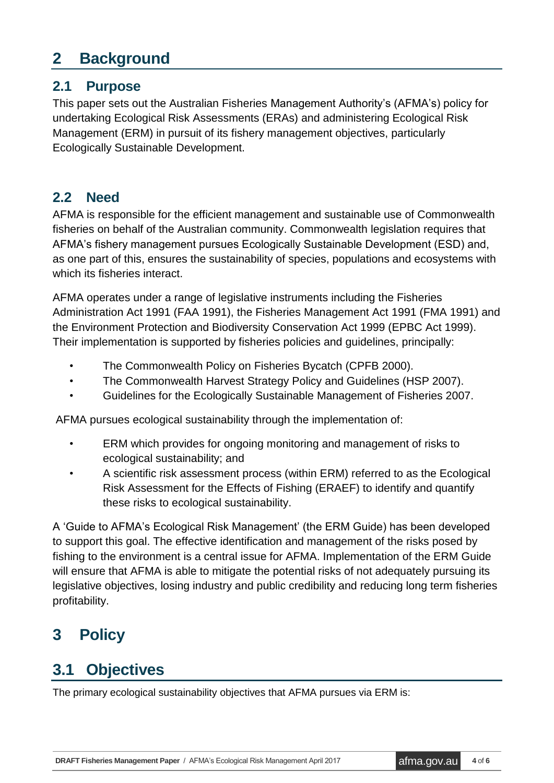### <span id="page-3-0"></span>**2 Background**

#### <span id="page-3-1"></span>**2.1 Purpose**

This paper sets out the Australian Fisheries Management Authority's (AFMA's) policy for undertaking Ecological Risk Assessments (ERAs) and administering Ecological Risk Management (ERM) in pursuit of its fishery management objectives, particularly Ecologically Sustainable Development.

#### <span id="page-3-2"></span>**2.2 Need**

AFMA is responsible for the efficient management and sustainable use of Commonwealth fisheries on behalf of the Australian community. Commonwealth legislation requires that AFMA's fishery management pursues Ecologically Sustainable Development (ESD) and, as one part of this, ensures the sustainability of species, populations and ecosystems with which its fisheries interact.

AFMA operates under a range of legislative instruments including the Fisheries Administration Act 1991 (FAA 1991), the Fisheries Management Act 1991 (FMA 1991) and the Environment Protection and Biodiversity Conservation Act 1999 (EPBC Act 1999). Their implementation is supported by fisheries policies and guidelines, principally:

- The Commonwealth Policy on Fisheries Bycatch (CPFB 2000).
- The Commonwealth Harvest Strategy Policy and Guidelines (HSP 2007).
- Guidelines for the Ecologically Sustainable Management of Fisheries 2007.

AFMA pursues ecological sustainability through the implementation of:

- ERM which provides for ongoing monitoring and management of risks to ecological sustainability; and
- A scientific risk assessment process (within ERM) referred to as the Ecological Risk Assessment for the Effects of Fishing (ERAEF) to identify and quantify these risks to ecological sustainability.

A 'Guide to AFMA's Ecological Risk Management' (the ERM Guide) has been developed to support this goal. The effective identification and management of the risks posed by fishing to the environment is a central issue for AFMA. Implementation of the ERM Guide will ensure that AFMA is able to mitigate the potential risks of not adequately pursuing its legislative objectives, losing industry and public credibility and reducing long term fisheries profitability.

# <span id="page-3-3"></span>**3 Policy**

# <span id="page-3-4"></span>**3.1 Objectives**

The primary ecological sustainability objectives that AFMA pursues via ERM is: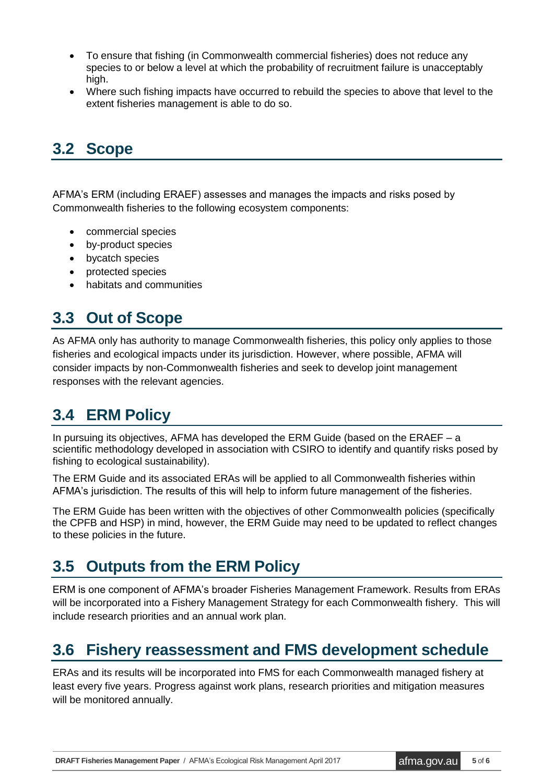- To ensure that fishing (in Commonwealth commercial fisheries) does not reduce any species to or below a level at which the probability of recruitment failure is unacceptably high.
- Where such fishing impacts have occurred to rebuild the species to above that level to the extent fisheries management is able to do so.

#### <span id="page-4-0"></span>**3.2 Scope**

AFMA's ERM (including ERAEF) assesses and manages the impacts and risks posed by Commonwealth fisheries to the following ecosystem components:

- commercial species
- by-product species
- bycatch species
- protected species
- habitats and communities

## <span id="page-4-1"></span>**3.3 Out of Scope**

As AFMA only has authority to manage Commonwealth fisheries, this policy only applies to those fisheries and ecological impacts under its jurisdiction. However, where possible, AFMA will consider impacts by non-Commonwealth fisheries and seek to develop joint management responses with the relevant agencies.

## <span id="page-4-2"></span>**3.4 ERM Policy**

In pursuing its objectives, AFMA has developed the ERM Guide (based on the ERAEF – a scientific methodology developed in association with CSIRO to identify and quantify risks posed by fishing to ecological sustainability).

The ERM Guide and its associated ERAs will be applied to all Commonwealth fisheries within AFMA's jurisdiction. The results of this will help to inform future management of the fisheries.

The ERM Guide has been written with the objectives of other Commonwealth policies (specifically the CPFB and HSP) in mind, however, the ERM Guide may need to be updated to reflect changes to these policies in the future.

## <span id="page-4-3"></span>**3.5 Outputs from the ERM Policy**

ERM is one component of AFMA's broader Fisheries Management Framework. Results from ERAs will be incorporated into a Fishery Management Strategy for each Commonwealth fishery. This will include research priorities and an annual work plan.

### <span id="page-4-4"></span>**3.6 Fishery reassessment and FMS development schedule**

ERAs and its results will be incorporated into FMS for each Commonwealth managed fishery at least every five years. Progress against work plans, research priorities and mitigation measures will be monitored annually.